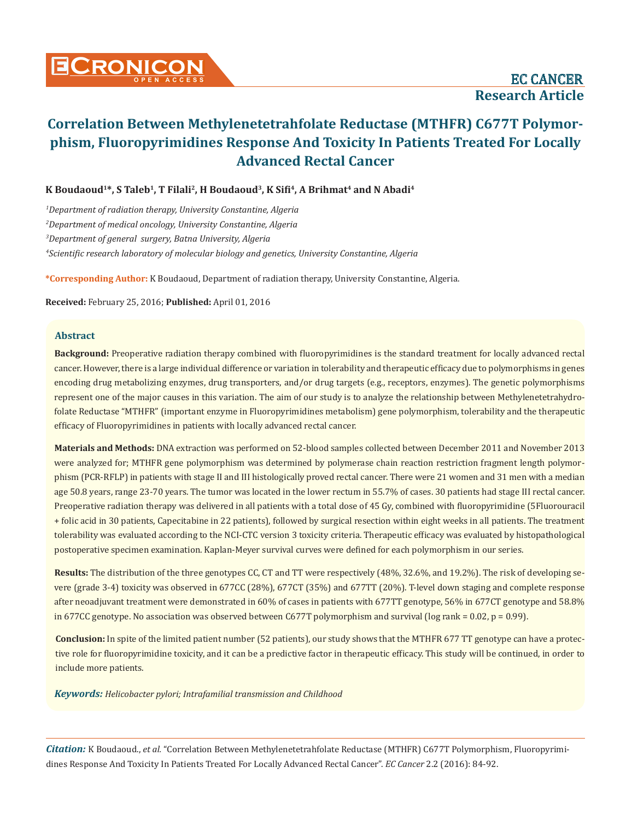# **Correlation Between Methylenetetrahfolate Reductase (MTHFR) C677T Polymorphism, Fluoropyrimidines Response And Toxicity In Patients Treated For Locally Advanced Rectal Cancer**

K Boudaoud<sup>1\*</sup>, S Taleb<sup>1</sup>, T Filali<sup>2</sup>, H Boudaoud<sup>3</sup>, K Sifi<sup>4</sup>, A Brihmat<sup>4</sup> and N Abadi<sup>4</sup>

 *Department of radiation therapy, University Constantine, Algeria Department of medical oncology, University Constantine, Algeria Department of general surgery, Batna University, Algeria Scientific research laboratory of molecular biology and genetics, University Constantine, Algeria*

**\*Corresponding Author:** K Boudaoud, Department of radiation therapy, University Constantine, Algeria.

**Received:** February 25, 2016; **Published:** April 01, 2016

## **Abstract**

**Background:** Preoperative radiation therapy combined with fluoropyrimidines is the standard treatment for locally advanced rectal cancer. However, there is a large individual difference or variation in tolerability and therapeutic efficacy due to polymorphisms in genes encoding drug metabolizing enzymes, drug transporters, and/or drug targets (e.g., receptors, enzymes). The genetic polymorphisms represent one of the major causes in this variation. The aim of our study is to analyze the relationship between Methylenetetrahydrofolate Reductase "MTHFR" (important enzyme in Fluoropyrimidines metabolism) gene polymorphism, tolerability and the therapeutic efficacy of Fluoropyrimidines in patients with locally advanced rectal cancer.

**Materials and Methods:** DNA extraction was performed on 52-blood samples collected between December 2011 and November 2013 were analyzed for; MTHFR gene polymorphism was determined by polymerase chain reaction restriction fragment length polymorphism (PCR-RFLP) in patients with stage II and III histologically proved rectal cancer. There were 21 women and 31 men with a median age 50.8 years, range 23-70 years. The tumor was located in the lower rectum in 55.7% of cases. 30 patients had stage III rectal cancer. Preoperative radiation therapy was delivered in all patients with a total dose of 45 Gy, combined with fluoropyrimidine (5Fluorouracil + folic acid in 30 patients, Capecitabine in 22 patients), followed by surgical resection within eight weeks in all patients. The treatment tolerability was evaluated according to the NCI-CTC version 3 toxicity criteria. Therapeutic efficacy was evaluated by histopathological postoperative specimen examination. Kaplan-Meyer survival curves were defined for each polymorphism in our series.

**Results:** The distribution of the three genotypes CC, CT and TT were respectively (48%, 32.6%, and 19.2%). The risk of developing severe (grade 3-4) toxicity was observed in 677CC (28%), 677CT (35%) and 677TT (20%). T-level down staging and complete response after neoadjuvant treatment were demonstrated in 60% of cases in patients with 677TT genotype, 56% in 677CT genotype and 58.8% in 677CC genotype. No association was observed between C677T polymorphism and survival (log rank = 0.02,  $p = 0.99$ ).

**Conclusion:** In spite of the limited patient number (52 patients), our study shows that the MTHFR 677 TT genotype can have a protective role for fluoropyrimidine toxicity, and it can be a predictive factor in therapeutic efficacy. This study will be continued, in order to include more patients.

*Keywords: Helicobacter pylori; Intrafamilial transmission and Childhood*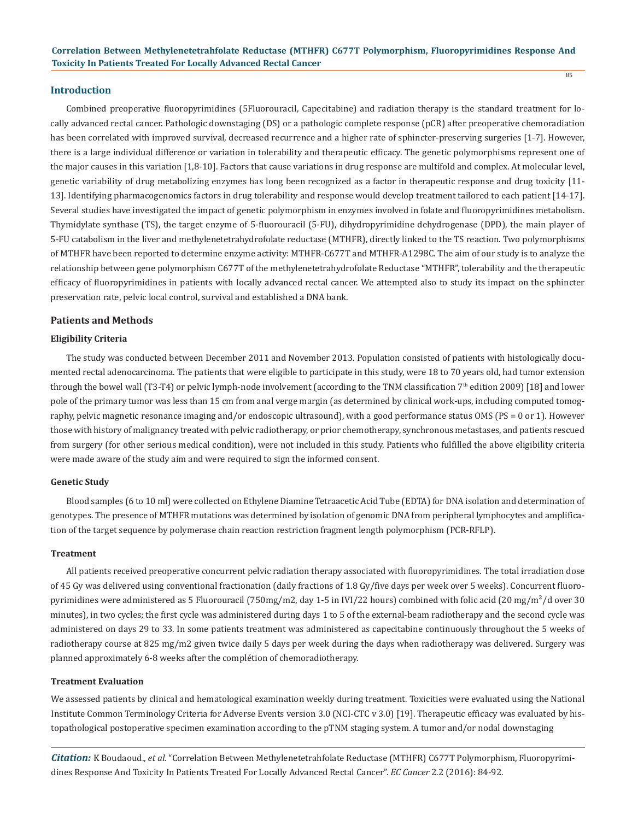#### **Introduction**

Combined preoperative fluoropyrimidines (5Fluorouracil, Capecitabine) and radiation therapy is the standard treatment for locally advanced rectal cancer. Pathologic downstaging (DS) or a pathologic complete response (pCR) after preoperative chemoradiation has been correlated with improved survival, decreased recurrence and a higher rate of sphincter-preserving surgeries [1-7]. However, there is a large individual difference or variation in tolerability and therapeutic efficacy. The genetic polymorphisms represent one of the major causes in this variation [1,8-10]. Factors that cause variations in drug response are multifold and complex. At molecular level, genetic variability of drug metabolizing enzymes has long been recognized as a factor in therapeutic response and drug toxicity [11- 13]. Identifying pharmacogenomics factors in drug tolerability and response would develop treatment tailored to each patient [14-17]. Several studies have investigated the impact of genetic polymorphism in enzymes involved in folate and fluoropyrimidines metabolism. Thymidylate synthase (TS), the target enzyme of 5-fluorouracil (5-FU), dihydropyrimidine dehydrogenase (DPD), the main player of 5-FU catabolism in the liver and methylenetetrahydrofolate reductase (MTHFR), directly linked to the TS reaction. Two polymorphisms of MTHFR have been reported to determine enzyme activity: MTHFR-C677T and MTHFR-A1298C. The aim of our study is to analyze the relationship between gene polymorphism C677T of the methylenetetrahydrofolate Reductase "MTHFR", tolerability and the therapeutic efficacy of fluoropyrimidines in patients with locally advanced rectal cancer. We attempted also to study its impact on the sphincter preservation rate, pelvic local control, survival and established a DNA bank.

#### **Patients and Methods**

#### **Eligibility Criteria**

The study was conducted between December 2011 and November 2013. Population consisted of patients with histologically documented rectal adenocarcinoma. The patients that were eligible to participate in this study, were 18 to 70 years old, had tumor extension through the bowel wall (T3-T4) or pelvic lymph-node involvement (according to the TNM classification 7<sup>th</sup> edition 2009) [18] and lower pole of the primary tumor was less than 15 cm from anal verge margin (as determined by clinical work-ups, including computed tomography, pelvic magnetic resonance imaging and/or endoscopic ultrasound), with a good performance status OMS (PS = 0 or 1). However those with history of malignancy treated with pelvic radiotherapy, or prior chemotherapy, synchronous metastases, and patients rescued from surgery (for other serious medical condition), were not included in this study. Patients who fulfilled the above eligibility criteria were made aware of the study aim and were required to sign the informed consent.

#### **Genetic Study**

Blood samples (6 to 10 ml) were collected on Ethylene Diamine Tetraacetic Acid Tube (EDTA) for DNA isolation and determination of genotypes. The presence of MTHFR mutations was determined by isolation of genomic DNA from peripheral lymphocytes and amplification of the target sequence by polymerase chain reaction restriction fragment length polymorphism (PCR-RFLP).

#### **Treatment**

All patients received preoperative concurrent pelvic radiation therapy associated with fluoropyrimidines. The total irradiation dose of 45 Gy was delivered using conventional fractionation (daily fractions of 1.8 Gy/five days per week over 5 weeks). Concurrent fluoropyrimidines were administered as 5 Fluorouracil (750mg/m2, day 1-5 in IVI/22 hours) combined with folic acid (20 mg/m<sup>2</sup>/d over 30 minutes), in two cycles; the first cycle was administered during days 1 to 5 of the external-beam radiotherapy and the second cycle was administered on days 29 to 33. In some patients treatment was administered as capecitabine continuously throughout the 5 weeks of radiotherapy course at 825 mg/m2 given twice daily 5 days per week during the days when radiotherapy was delivered. Surgery was planned approximately 6-8 weeks after the complétion of chemoradiotherapy.

#### **Treatment Evaluation**

We assessed patients by clinical and hematological examination weekly during treatment. Toxicities were evaluated using the National Institute Common Terminology Criteria for Adverse Events version 3.0 (NCI-CTC v 3.0) [19]. Therapeutic efficacy was evaluated by histopathological postoperative specimen examination according to the pTNM staging system. A tumor and/or nodal downstaging

*Citation:* K Boudaoud., *et al.* "Correlation Between Methylenetetrahfolate Reductase (MTHFR) C677T Polymorphism, Fluoropyrimidines Response And Toxicity In Patients Treated For Locally Advanced Rectal Cancer". *EC Cancer* 2.2 (2016): 84-92.

 $85$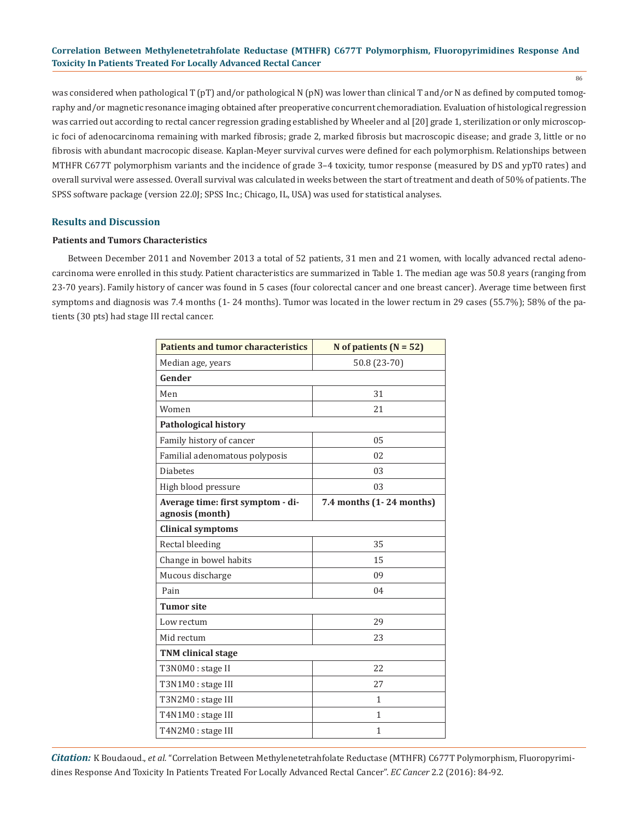## **Correlation Between Methylenetetrahfolate Reductase (MTHFR) C677T Polymorphism, Fluoropyrimidines Response And Toxicity In Patients Treated For Locally Advanced Rectal Cancer**

86

was considered when pathological T (pT) and/or pathological N (pN) was lower than clinical T and/or N as defined by computed tomography and/or magnetic resonance imaging obtained after preoperative concurrent chemoradiation. Evaluation of histological regression was carried out according to rectal cancer regression grading established by Wheeler and al [20] grade 1, sterilization or only microscopic foci of adenocarcinoma remaining with marked fibrosis; grade 2, marked fibrosis but macroscopic disease; and grade 3, little or no fibrosis with abundant macrocopic disease. Kaplan-Meyer survival curves were defined for each polymorphism. Relationships between MTHFR C677T polymorphism variants and the incidence of grade 3–4 toxicity, tumor response (measured by DS and ypT0 rates) and overall survival were assessed. Overall survival was calculated in weeks between the start of treatment and death of 50% of patients. The SPSS software package (version 22.0J; SPSS Inc.; Chicago, IL, USA) was used for statistical analyses.

## **Results and Discussion**

#### **Patients and Tumors Characteristics**

Between December 2011 and November 2013 a total of 52 patients, 31 men and 21 women, with locally advanced rectal adenocarcinoma were enrolled in this study. Patient characteristics are summarized in Table 1. The median age was 50.8 years (ranging from 23-70 years). Family history of cancer was found in 5 cases (four colorectal cancer and one breast cancer). Average time between first symptoms and diagnosis was 7.4 months (1- 24 months). Tumor was located in the lower rectum in 29 cases (55.7%); 58% of the patients (30 pts) had stage III rectal cancer.

| <b>Patients and tumor characteristics</b>            | N of patients $(N = 52)$ |  |  |  |
|------------------------------------------------------|--------------------------|--|--|--|
| Median age, years                                    | 50.8 (23-70)             |  |  |  |
| Gender                                               |                          |  |  |  |
| Men                                                  | 31                       |  |  |  |
| Women                                                | 21                       |  |  |  |
| <b>Pathological history</b>                          |                          |  |  |  |
| Family history of cancer                             | 05                       |  |  |  |
| Familial adenomatous polyposis                       | 02                       |  |  |  |
| <b>Diabetes</b>                                      | 03                       |  |  |  |
| High blood pressure                                  | 03                       |  |  |  |
| Average time: first symptom - di-<br>agnosis (month) | 7.4 months (1-24 months) |  |  |  |
| <b>Clinical symptoms</b>                             |                          |  |  |  |
| Rectal bleeding                                      | 35                       |  |  |  |
| Change in bowel habits                               | 15                       |  |  |  |
| Mucous discharge                                     | 09                       |  |  |  |
| Pain                                                 | 04                       |  |  |  |
| <b>Tumor site</b>                                    |                          |  |  |  |
| Low rectum                                           | 29                       |  |  |  |
| Mid rectum                                           | 23                       |  |  |  |
| <b>TNM</b> clinical stage                            |                          |  |  |  |
| T3N0M0 : stage II                                    | 22.2                     |  |  |  |
| T3N1M0 : stage III                                   | 27                       |  |  |  |
| T3N2M0 : stage III                                   | $\mathbf{1}$             |  |  |  |
| T4N1M0 : stage III                                   | 1                        |  |  |  |
| T4N2M0 : stage III                                   | $\mathbf{1}$             |  |  |  |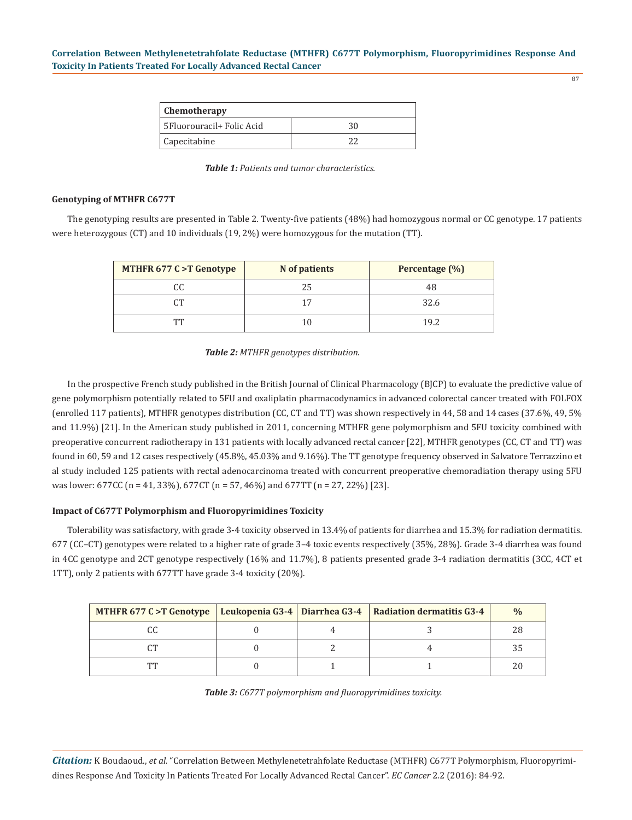| ۰.<br>$\sim$ |  |
|--------------|--|
|              |  |

| <b>Chemotherapy</b>        |    |  |
|----------------------------|----|--|
| 5 Fluorouracil+ Folic Acid | 30 |  |
| Capecitabine               |    |  |

*Table 1: Patients and tumor characteristics.*

### **Genotyping of MTHFR C677T**

The genotyping results are presented in Table 2. Twenty-five patients (48%) had homozygous normal or CC genotype. 17 patients were heterozygous (CT) and 10 individuals (19, 2%) were homozygous for the mutation (TT).

| <b>MTHFR 677 C &gt;T Genotype</b> | N of patients | Percentage (%) |
|-----------------------------------|---------------|----------------|
|                                   | 25            | 48             |
|                                   | 17            | 32.6           |
| ፐፐ                                | 10            | 19.2           |

#### *Table 2: MTHFR genotypes distribution.*

In the prospective French study published in the British Journal of Clinical Pharmacology (BJCP) to evaluate the predictive value of gene polymorphism potentially related to 5FU and oxaliplatin pharmacodynamics in advanced colorectal cancer treated with FOLFOX (enrolled 117 patients), MTHFR genotypes distribution (CC, CT and TT) was shown respectively in 44, 58 and 14 cases (37.6%, 49, 5% and 11.9%) [21]. In the American study published in 2011, concerning MTHFR gene polymorphism and 5FU toxicity combined with preoperative concurrent radiotherapy in 131 patients with locally advanced rectal cancer [22], MTHFR genotypes (CC, CT and TT) was found in 60, 59 and 12 cases respectively (45.8%, 45.03% and 9.16%). The TT genotype frequency observed in Salvatore Terrazzino et al study included 125 patients with rectal adenocarcinoma treated with concurrent preoperative chemoradiation therapy using 5FU was lower: 677CC (n = 41, 33%), 677CT (n = 57, 46%) and 677TT (n = 27, 22%) [23].

## **Impact of C677T Polymorphism and Fluoropyrimidines Toxicity**

Tolerability was satisfactory, with grade 3-4 toxicity observed in 13.4% of patients for diarrhea and 15.3% for radiation dermatitis. 677 (CC–CT) genotypes were related to a higher rate of grade 3–4 toxic events respectively (35%, 28%). Grade 3-4 diarrhea was found in 4CC genotype and 2CT genotype respectively (16% and 11.7%), 8 patients presented grade 3-4 radiation dermatitis (3CC, 4CT et 1TT), only 2 patients with 677TT have grade 3-4 toxicity (20%).

| MTHFR 677 C > T Genotype   Leukopenia G3-4   Diarrhea G3-4   Radiation dermatitis G3-4 |  | $\frac{0}{0}$ |
|----------------------------------------------------------------------------------------|--|---------------|
|                                                                                        |  |               |
|                                                                                        |  |               |
| mm                                                                                     |  |               |

*Table 3: C677T polymorphism and fluoropyrimidines toxicity.*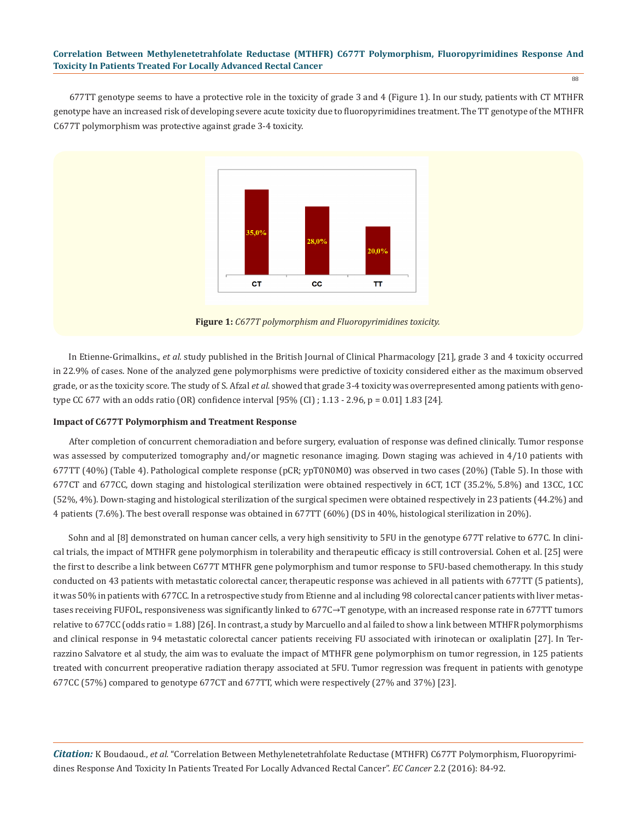#### **Correlation Between Methylenetetrahfolate Reductase (MTHFR) C677T Polymorphism, Fluoropyrimidines Response And Toxicity In Patients Treated For Locally Advanced Rectal Cancer**

88

677TT genotype seems to have a protective role in the toxicity of grade 3 and 4 (Figure 1). In our study, patients with CT MTHFR genotype have an increased risk of developing severe acute toxicity due to fluoropyrimidines treatment. The TT genotype of the MTHFR C677T polymorphism was protective against grade 3-4 toxicity.



**Figure 1:** *C677T polymorphism and Fluoropyrimidines toxicity.*

In Etienne-Grimalkins., *et al.* study published in the British Journal of Clinical Pharmacology [21], grade 3 and 4 toxicity occurred in 22.9% of cases. None of the analyzed gene polymorphisms were predictive of toxicity considered either as the maximum observed grade, or as the toxicity score. The study of S. Afzal *et al.* showed that grade 3-4 toxicity was overrepresented among patients with genotype CC 677 with an odds ratio (OR) confidence interval [95% (CI) ; 1.13 - 2.96, p = 0.01] 1.83 [24].

## **Impact of C677T Polymorphism and Treatment Response**

After completion of concurrent chemoradiation and before surgery, evaluation of response was defined clinically. Tumor response was assessed by computerized tomography and/or magnetic resonance imaging. Down staging was achieved in 4/10 patients with 677TT (40%) (Table 4). Pathological complete response (pCR; ypT0N0M0) was observed in two cases (20%) (Table 5). In those with 677CT and 677CC, down staging and histological sterilization were obtained respectively in 6CT, 1CT (35.2%, 5.8%) and 13CC, 1CC (52%, 4%). Down-staging and histological sterilization of the surgical specimen were obtained respectively in 23 patients (44.2%) and 4 patients (7.6%). The best overall response was obtained in 677TT (60%) (DS in 40%, histological sterilization in 20%).

Sohn and al [8] demonstrated on human cancer cells, a very high sensitivity to 5FU in the genotype 677T relative to 677C. In clinical trials, the impact of MTHFR gene polymorphism in tolerability and therapeutic efficacy is still controversial. Cohen et al. [25] were the first to describe a link between C677T MTHFR gene polymorphism and tumor response to 5FU-based chemotherapy. In this study conducted on 43 patients with metastatic colorectal cancer, therapeutic response was achieved in all patients with 677TT (5 patients), it was 50% in patients with 677CC. In a retrospective study from Etienne and al including 98 colorectal cancer patients with liver metastases receiving FUFOL, responsiveness was significantly linked to 677C→T genotype, with an increased response rate in 677TT tumors relative to 677CC (odds ratio = 1.88) [26]. In contrast, a study by Marcuello and al failed to show a link between MTHFR polymorphisms and clinical response in 94 metastatic colorectal cancer patients receiving FU associated with irinotecan or oxaliplatin [27]. In Terrazzino Salvatore et al study, the aim was to evaluate the impact of MTHFR gene polymorphism on tumor regression, in 125 patients treated with concurrent preoperative radiation therapy associated at 5FU. Tumor regression was frequent in patients with genotype 677CC (57%) compared to genotype 677CT and 677TT, which were respectively (27% and 37%) [23].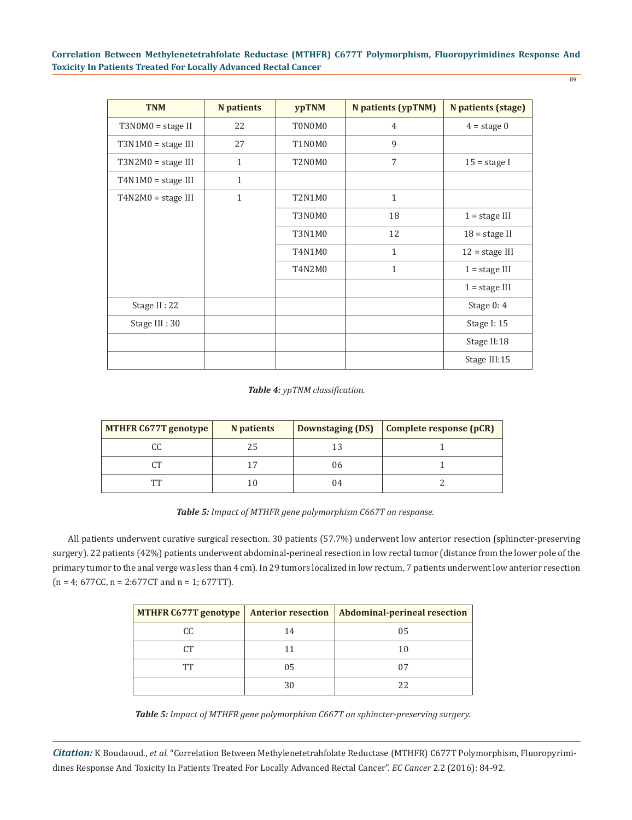| <b>TNM</b>           | <b>N</b> patients | <b>ypTNM</b>  | <b>N</b> patients (ypTNM) | N patients (stage) |
|----------------------|-------------------|---------------|---------------------------|--------------------|
| $T3N0M0 = stage II$  | 22                | T0N0M0        | 4                         | $4 = stage 0$      |
| $T3N1M0 = stage III$ | 27                | T1N0M0        | 9                         |                    |
| $T3N2M0 = stage III$ | $\mathbf{1}$      | T2N0M0        | 7                         | $15 =$ stage I     |
| $T4N1M0 = stage III$ | $\mathbf{1}$      |               |                           |                    |
| $T4N2M0 = stage III$ | $\mathbf{1}$      | <b>T2N1M0</b> | $\mathbf{1}$              |                    |
|                      |                   | T3N0M0        | 18                        | $1 = stage III$    |
|                      |                   | T3N1M0        | 12                        | $18 =$ stage II    |
|                      |                   | T4N1M0        | $\mathbf{1}$              | $12 = stage III$   |
|                      |                   | T4N2M0        | $\mathbf{1}$              | $1 = stage III$    |
|                      |                   |               |                           | $1 = stage III$    |
| Stage II: 22         |                   |               |                           | Stage $0:4$        |
| Stage III: 30        |                   |               |                           | Stage I: 15        |
|                      |                   |               |                           | Stage II:18        |
|                      |                   |               |                           | Stage III:15       |

*Table 4: ypTNM classification.*

| MTHFR C677T genotype | N patients |    | Downstaging (DS) Complete response (pCR) |
|----------------------|------------|----|------------------------------------------|
| CC                   | 25         |    |                                          |
| CТ                   |            | 06 |                                          |
| ፐፐ                   | 10         | 04 |                                          |

*Table 5: Impact of MTHFR gene polymorphism C667T on response.*

All patients underwent curative surgical resection. 30 patients (57.7%) underwent low anterior resection (sphincter-preserving surgery). 22 patients (42%) patients underwent abdominal-perineal resection in low rectal tumor (distance from the lower pole of the primary tumor to the anal verge was less than 4 cm). In 29 tumors localized in low rectum, 7 patients underwent low anterior resection  $(n = 4; 677CC, n = 2:677CT and n = 1; 677TT).$ 

| MTHFR C677T genotype |    | Anterior resection   Abdominal-perineal resection |
|----------------------|----|---------------------------------------------------|
| CC.                  | 14 | 05                                                |
| ቦፐ                   |    |                                                   |
| TТ                   | 05 |                                                   |
|                      | 30 |                                                   |

*Table 5: Impact of MTHFR gene polymorphism C667T on sphincter-preserving surgery.*

*Citation:* K Boudaoud., *et al.* "Correlation Between Methylenetetrahfolate Reductase (MTHFR) C677T Polymorphism, Fluoropyrimidines Response And Toxicity In Patients Treated For Locally Advanced Rectal Cancer". *EC Cancer* 2.2 (2016): 84-92.

89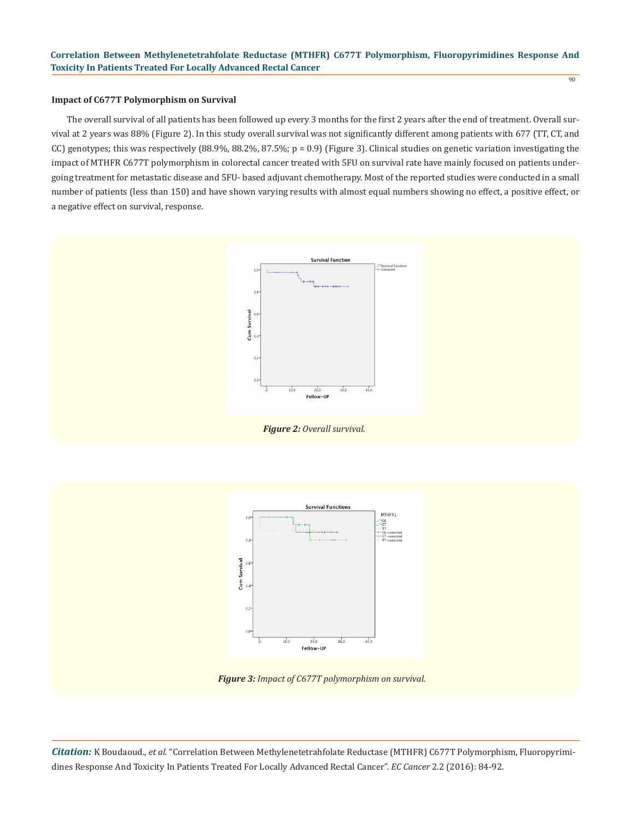## **Impact of C677T Polymorphism on Survival**

The overall survival of all patients has been followed up every 3 months for the first 2 years after the end of treatment. Overall survival at 2 years was 88% (Figure 2). In this study overall survival was not significantly different among patients with 677 (TT, CT, and CC) genotypes; this was respectively (88.9%, 88.2%, 87.5%;  $p = 0.9$ ) (Figure 3). Clinical studies on genetic variation investigating the impact of MTHFR C677T polymorphism in colorectal cancer treated with 5FU on survival rate have mainly focused on patients undergoing treatment for metastatic disease and 5FU- based adjuvant chemotherapy. Most of the reported studies were conducted in a small number of patients (less than 150) and have shown varying results with almost equal numbers showing no effect, a positive effect, or a negative effect on survival, response.



*Figure 2: Overall survival.*



*Figure 3: Impact of C677T polymorphism on survival.*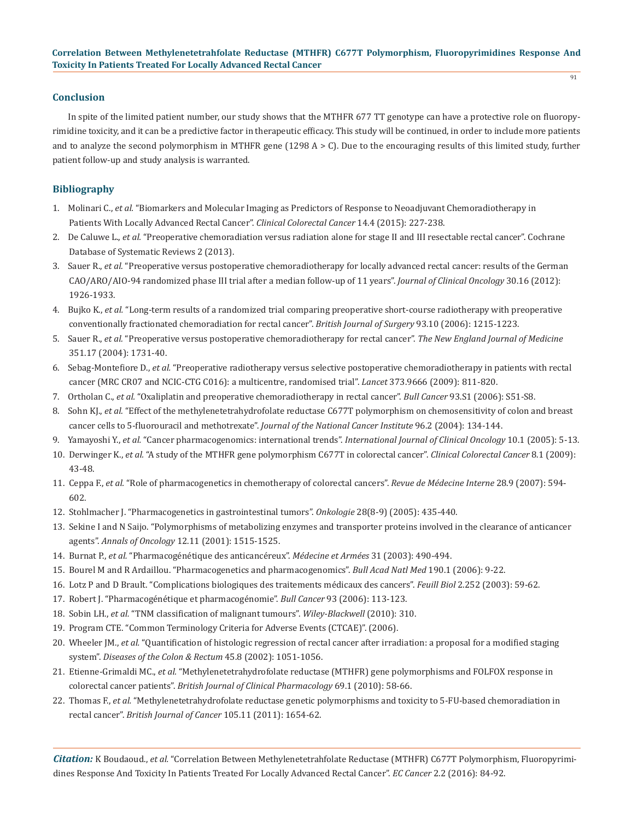## **Conclusion**

In spite of the limited patient number, our study shows that the MTHFR 677 TT genotype can have a protective role on fluoropyrimidine toxicity, and it can be a predictive factor in therapeutic efficacy. This study will be continued, in order to include more patients and to analyze the second polymorphism in MTHFR gene (1298  $A > C$ ). Due to the encouraging results of this limited study, further patient follow-up and study analysis is warranted.

## **Bibliography**

- 1. Molinari C., *et al.* "Biomarkers and Molecular Imaging as Predictors of Response to Neoadjuvant Chemoradiotherapy in Patients With Locally Advanced Rectal Cancer". *Clinical Colorectal Cancer* 14.4 (2015): 227-238.
- 2. De Caluwe L., *et al.* "Preoperative chemoradiation versus radiation alone for stage II and III resectable rectal cancer". Cochrane Database of Systematic Reviews 2 (2013).
- 3. Sauer R., *et al.* "Preoperative versus postoperative chemoradiotherapy for locally advanced rectal cancer: results of the German CAO/ARO/AIO-94 randomized phase III trial after a median follow-up of 11 years". *Journal of Clinical Oncology* 30.16 (2012): 1926-1933.
- 4. Bujko K., *et al.* "Long-term results of a randomized trial comparing preoperative short-course radiotherapy with preoperative conventionally fractionated chemoradiation for rectal cancer". *British Journal of Surgery* 93.10 (2006): 1215-1223.
- 5. Sauer R., *et al.* "Preoperative versus postoperative chemoradiotherapy for rectal cancer". *The New England Journal of Medicine* 351.17 (2004): 1731-40.
- 6. Sebag-Montefiore D., *et al.* "Preoperative radiotherapy versus selective postoperative chemoradiotherapy in patients with rectal cancer (MRC CR07 and NCIC-CTG C016): a multicentre, randomised trial". *Lancet* 373.9666 (2009): 811-820.
- 7. Ortholan C., *et al.* "Oxaliplatin and preoperative chemoradiotherapy in rectal cancer". *Bull Cancer* 93.S1 (2006): S51-S8.
- 8. Sohn KJ., *et al.* "Effect of the methylenetetrahydrofolate reductase C677T polymorphism on chemosensitivity of colon and breast cancer cells to 5-fluorouracil and methotrexate". *Journal of the National Cancer Institute* 96.2 (2004): 134-144.
- 9. Yamayoshi Y., *et al.* "Cancer pharmacogenomics: international trends". *International Journal of Clinical Oncology* 10.1 (2005): 5-13.
- 10. Derwinger K., *et al.* "A study of the MTHFR gene polymorphism C677T in colorectal cancer". *Clinical Colorectal Cancer* 8.1 (2009): 43-48.
- 11. Ceppa F., *et al.* "Role of pharmacogenetics in chemotherapy of colorectal cancers". *Revue de Médecine Interne* 28.9 (2007): 594- 602.
- 12. Stohlmacher J. "Pharmacogenetics in gastrointestinal tumors". *Onkologie* 28(8-9) (2005): 435-440.
- 13. Sekine I and N Saijo. "Polymorphisms of metabolizing enzymes and transporter proteins involved in the clearance of anticancer agents". *Annals of Oncology* 12.11 (2001): 1515-1525.
- 14. Burnat P., *et al.* "Pharmacogénétique des anticancéreux". *Médecine et Armées* 31 (2003): 490-494.
- 15. Bourel M and R Ardaillou. "Pharmacogenetics and pharmacogenomics". *Bull Acad Natl Med* 190.1 (2006): 9-22.
- 16. Lotz P and D Brault. "Complications biologiques des traitements médicaux des cancers". *Feuill Biol* 2.252 (2003): 59-62.
- 17. Robert J. "Pharmacogénétique et pharmacogénomie". *Bull Cancer* 93 (2006): 113-123.
- 18. Sobin LH., *et al.* "TNM classification of malignant tumours". *Wiley-Blackwell* (2010): 310.
- 19. Program CTE. "Common Terminology Criteria for Adverse Events (CTCAE)". (2006).
- 20. Wheeler JM., *et al.* "Quantification of histologic regression of rectal cancer after irradiation: a proposal for a modified staging system". *Diseases of the Colon & Rectum* 45.8 (2002): 1051-1056.
- 21. Etienne-Grimaldi MC., *et al.* "Methylenetetrahydrofolate reductase (MTHFR) gene polymorphisms and FOLFOX response in colorectal cancer patients". *British Journal of Clinical Pharmacology* 69.1 (2010): 58-66.
- 22. Thomas F., *et al.* "Methylenetetrahydrofolate reductase genetic polymorphisms and toxicity to 5-FU-based chemoradiation in rectal cancer". *British Journal of Cancer* 105.11 (2011): 1654-62.